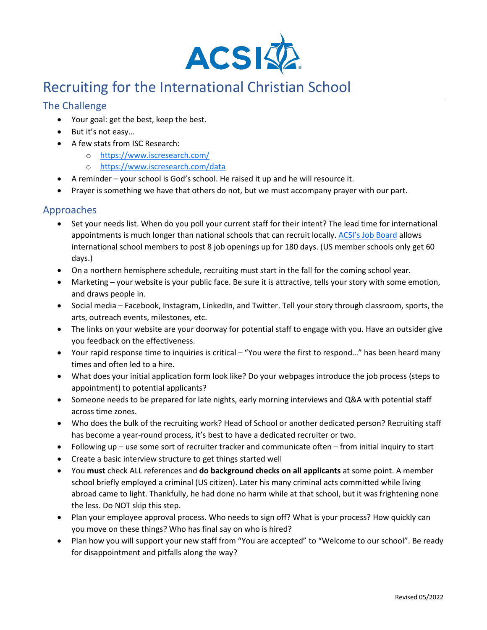

# Recruiting for the International Christian School

# The Challenge

- Your goal: get the best, keep the best.
- But it's not easy…
- A few stats from ISC Research:
	- o <https://www.iscresearch.com/>
	- o <https://www.iscresearch.com/data>
- A reminder your school is God's school. He raised it up and he will resource it.
- Prayer is something we have that others do not, but we must accompany prayer with our part.

# Approaches

- Set your needs list. When do you poll your current staff for their intent? The lead time for international appointments is much longer than national schools that can recruit locally. [ACSI's Job Board](https://www.acsi.org/careers) allows international school members to post 8 job openings up for 180 days. (US member schools only get 60 days.)
- On a northern hemisphere schedule, recruiting must start in the fall for the coming school year.
- Marketing your website is your public face. Be sure it is attractive, tells your story with some emotion, and draws people in.
- Social media Facebook, Instagram, LinkedIn, and Twitter. Tell your story through classroom, sports, the arts, outreach events, milestones, etc.
- The links on your website are your doorway for potential staff to engage with you. Have an outsider give you feedback on the effectiveness.
- Your rapid response time to inquiries is critical "You were the first to respond…" has been heard many times and often led to a hire.
- What does your initial application form look like? Do your webpages introduce the job process (steps to appointment) to potential applicants?
- Someone needs to be prepared for late nights, early morning interviews and Q&A with potential staff across time zones.
- Who does the bulk of the recruiting work? Head of School or another dedicated person? Recruiting staff has become a year-round process, it's best to have a dedicated recruiter or two.
- Following up use some sort of recruiter tracker and communicate often from initial inquiry to start
- Create a basic interview structure to get things started well
- You **must** check ALL references and **do background checks on all applicants** at some point. A member school briefly employed a criminal (US citizen). Later his many criminal acts committed while living abroad came to light. Thankfully, he had done no harm while at that school, but it was frightening none the less. Do NOT skip this step.
- Plan your employee approval process. Who needs to sign off? What is your process? How quickly can you move on these things? Who has final say on who is hired?
- Plan how you will support your new staff from "You are accepted" to "Welcome to our school". Be ready for disappointment and pitfalls along the way?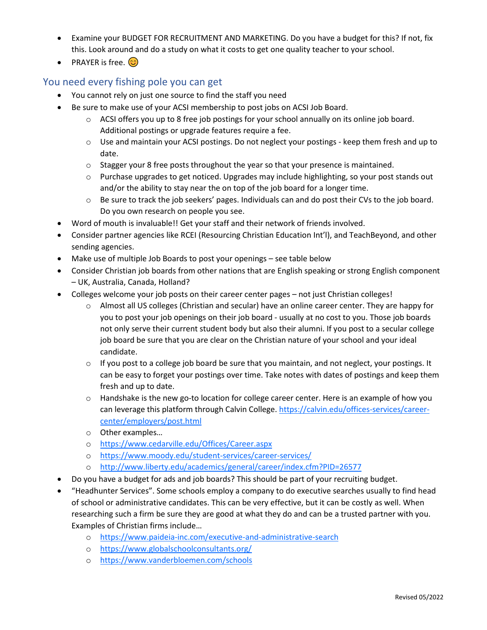- Examine your BUDGET FOR RECRUITMENT AND MARKETING. Do you have a budget for this? If not, fix this. Look around and do a study on what it costs to get one quality teacher to your school.
- PRAYER is free.  $\odot$

## You need every fishing pole you can get

- You cannot rely on just one source to find the staff you need
- Be sure to make use of your ACSI membership to post jobs on ACSI Job Board.
	- $\circ$  ACSI offers you up to 8 free job postings for your school annually on its online job board. Additional postings or upgrade features require a fee.
	- o Use and maintain your ACSI postings. Do not neglect your postings keep them fresh and up to date.
	- $\circ$  Stagger your 8 free posts throughout the year so that your presence is maintained.
	- $\circ$  Purchase upgrades to get noticed. Upgrades may include highlighting, so your post stands out and/or the ability to stay near the on top of the job board for a longer time.
	- o Be sure to track the job seekers' pages. Individuals can and do post their CVs to the job board. Do you own research on people you see.
- Word of mouth is invaluable!! Get your staff and their network of friends involved.
- Consider partner agencies like RCEI (Resourcing Christian Education Int'l), and TeachBeyond, and other sending agencies.
- Make use of multiple Job Boards to post your openings see table below
- Consider Christian job boards from other nations that are English speaking or strong English component – UK, Australia, Canada, Holland?
- Colleges welcome your job posts on their career center pages not just Christian colleges!
	- o Almost all US colleges (Christian and secular) have an online career center. They are happy for you to post your job openings on their job board - usually at no cost to you. Those job boards not only serve their current student body but also their alumni. If you post to a secular college job board be sure that you are clear on the Christian nature of your school and your ideal candidate.
	- $\circ$  If you post to a college job board be sure that you maintain, and not neglect, your postings. It can be easy to forget your postings over time. Take notes with dates of postings and keep them fresh and up to date.
	- o Handshake is the new go-to location for college career center. Here is an example of how you can leverage this platform through Calvin College. [https://calvin.edu/offices-services/career](https://calvin.edu/offices-services/career-center/employers/post.html)[center/employers/post.html](https://calvin.edu/offices-services/career-center/employers/post.html)
	- o Other examples…
	- o <https://www.cedarville.edu/Offices/Career.aspx>
	- o <https://www.moody.edu/student-services/career-services/>
	- o <http://www.liberty.edu/academics/general/career/index.cfm?PID=26577>
- Do you have a budget for ads and job boards? This should be part of your recruiting budget.
- "Headhunter Services". Some schools employ a company to do executive searches usually to find head of school or administrative candidates. This can be very effective, but it can be costly as well. When researching such a firm be sure they are good at what they do and can be a trusted partner with you. Examples of Christian firms include…
	- o <https://www.paideia-inc.com/executive-and-administrative-search>
	- o <https://www.globalschoolconsultants.org/>
	- o <https://www.vanderbloemen.com/schools>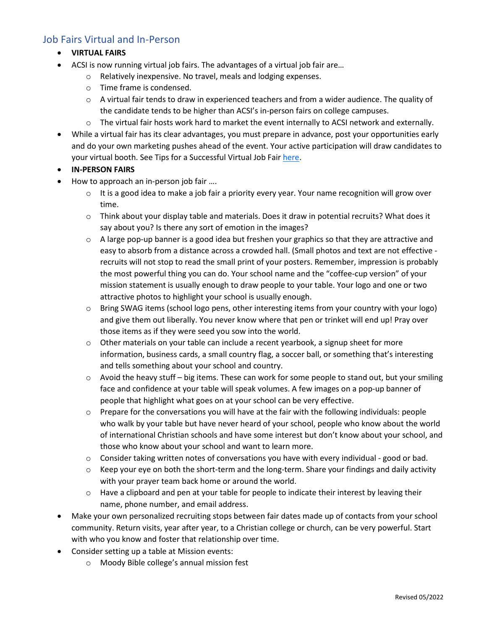## Job Fairs Virtual and In-Person

- **VIRTUAL FAIRS**
- ACSI is now running virtual job fairs. The advantages of a virtual job fair are…
	- o Relatively inexpensive. No travel, meals and lodging expenses.
	- o Time frame is condensed.
	- $\circ$  A virtual fair tends to draw in experienced teachers and from a wider audience. The quality of the candidate tends to be higher than ACSI's in-person fairs on college campuses.
	- o The virtual fair hosts work hard to market the event internally to ACSI network and externally.
- While a virtual fair has its clear advantages, you must prepare in advance, post your opportunities early and do your own marketing pushes ahead of the event. Your active participation will draw candidates to your virtual booth. See Tips for a Successful Virtual Job Fai[r here.](https://www.acsi.org/docs/default-source/global-international/virtual-job-fair-tips-2021.pdf?sfvrsn=6ae4390e_2)
- **IN-PERSON FAIRS**
- How to approach an in-person job fair ....
	- $\circ$  It is a good idea to make a job fair a priority every year. Your name recognition will grow over time.
	- $\circ$  Think about your display table and materials. Does it draw in potential recruits? What does it say about you? Is there any sort of emotion in the images?
	- $\circ$  A large pop-up banner is a good idea but freshen your graphics so that they are attractive and easy to absorb from a distance across a crowded hall. (Small photos and text are not effective recruits will not stop to read the small print of your posters. Remember, impression is probably the most powerful thing you can do. Your school name and the "coffee-cup version" of your mission statement is usually enough to draw people to your table. Your logo and one or two attractive photos to highlight your school is usually enough.
	- $\circ$  Bring SWAG items (school logo pens, other interesting items from your country with your logo) and give them out liberally. You never know where that pen or trinket will end up! Pray over those items as if they were seed you sow into the world.
	- $\circ$  Other materials on your table can include a recent yearbook, a signup sheet for more information, business cards, a small country flag, a soccer ball, or something that's interesting and tells something about your school and country.
	- $\circ$  Avoid the heavy stuff big items. These can work for some people to stand out, but your smiling face and confidence at your table will speak volumes. A few images on a pop-up banner of people that highlight what goes on at your school can be very effective.
	- $\circ$  Prepare for the conversations you will have at the fair with the following individuals: people who walk by your table but have never heard of your school, people who know about the world of international Christian schools and have some interest but don't know about your school, and those who know about your school and want to learn more.
	- o Consider taking written notes of conversations you have with every individual good or bad.
	- $\circ$  Keep your eye on both the short-term and the long-term. Share your findings and daily activity with your prayer team back home or around the world.
	- $\circ$  Have a clipboard and pen at your table for people to indicate their interest by leaving their name, phone number, and email address.
- Make your own personalized recruiting stops between fair dates made up of contacts from your school community. Return visits, year after year, to a Christian college or church, can be very powerful. Start with who you know and foster that relationship over time.
- Consider setting up a table at Mission events:
	- o Moody Bible college's annual mission fest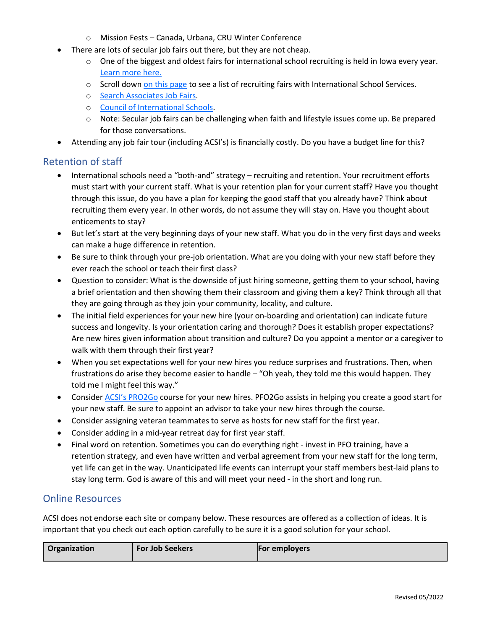- o Mission Fests Canada, Urbana, CRU Winter Conference
- There are lots of secular job fairs out there, but they are not cheap.
	- $\circ$  One of the biggest and oldest fairs for international school recruiting is held in Iowa every year. [Learn more here.](https://teachoverseas.uni.edu/fair)
	- $\circ$  Scroll dow[n on this page](https://www.iss.edu/services/teacher-recruitment/job-fairs) to see a list of recruiting fairs with International School Services.
	- o [Search Associates Job Fairs.](https://www.searchassociates.com/Job-Fairs/Job-Fairs-Home.aspx)
	- o [Council of International Schools.](https://www.cois.org/for-schools/career-and-recruitment-services)
	- $\circ$  Note: Secular job fairs can be challenging when faith and lifestyle issues come up. Be prepared for those conversations.
- Attending any job fair tour (including ACSI's) is financially costly. Do you have a budget line for this?

#### Retention of staff

- International schools need a "both-and" strategy recruiting and retention. Your recruitment efforts must start with your current staff. What is your retention plan for your current staff? Have you thought through this issue, do you have a plan for keeping the good staff that you already have? Think about recruiting them every year. In other words, do not assume they will stay on. Have you thought about enticements to stay?
- But let's start at the very beginning days of your new staff. What you do in the very first days and weeks can make a huge difference in retention.
- Be sure to think through your pre-job orientation. What are you doing with your new staff before they ever reach the school or teach their first class?
- Question to consider: What is the downside of just hiring someone, getting them to your school, having a brief orientation and then showing them their classroom and giving them a key? Think through all that they are going through as they join your community, locality, and culture.
- The initial field experiences for your new hire (your on-boarding and orientation) can indicate future success and longevity. Is your orientation caring and thorough? Does it establish proper expectations? Are new hires given information about transition and culture? Do you appoint a mentor or a caregiver to walk with them through their first year?
- When you set expectations well for your new hires you reduce surprises and frustrations. Then, when frustrations do arise they become easier to handle – "Oh yeah, they told me this would happen. They told me I might feel this way."
- Consider [ACSI's PRO2Go](https://www.acsi.org/global/international-schools/events/pfo2go) course for your new hires. PFO2Go assists in helping you create a good start for your new staff. Be sure to appoint an advisor to take your new hires through the course.
- Consider assigning veteran teammates to serve as hosts for new staff for the first year.
- Consider adding in a mid-year retreat day for first year staff.
- Final word on retention. Sometimes you can do everything right invest in PFO training, have a retention strategy, and even have written and verbal agreement from your new staff for the long term, yet life can get in the way. Unanticipated life events can interrupt your staff members best-laid plans to stay long term. God is aware of this and will meet your need - in the short and long run.

#### Online Resources

ACSI does not endorse each site or company below. These resources are offered as a collection of ideas. It is important that you check out each option carefully to be sure it is a good solution for your school.

| Organization | <b>For Job Seekers</b> | <b>For employers</b> |
|--------------|------------------------|----------------------|
|--------------|------------------------|----------------------|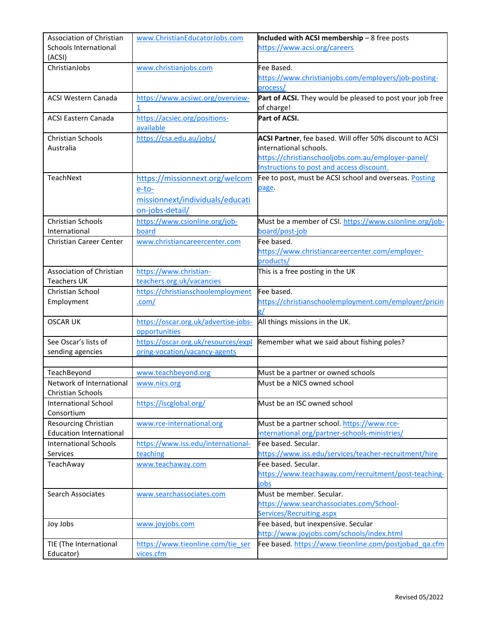| Association of Christian<br>Schools International | www.ChristianEducatorJobs.com                         | Included with ACSI membership - 8 free posts<br>https://www.acsi.org/careers     |
|---------------------------------------------------|-------------------------------------------------------|----------------------------------------------------------------------------------|
| (ACSI)<br>ChristianJobs                           |                                                       | Fee Based.                                                                       |
|                                                   | www.christianjobs.com                                 | https://www.christianjobs.com/employers/job-posting-                             |
|                                                   |                                                       | process/                                                                         |
| <b>ACSI Western Canada</b>                        | https://www.acsiwc.org/overview-                      | Part of ACSI. They would be pleased to post your job free                        |
|                                                   | 1                                                     | of charge!                                                                       |
| <b>ACSI Eastern Canada</b>                        | https://acsiec.org/positions-                         | Part of ACSI.                                                                    |
|                                                   | available                                             |                                                                                  |
| <b>Christian Schools</b>                          | https://csa.edu.au/jobs/                              | ACSI Partner, fee based. Will offer 50% discount to ACSI                         |
| Australia                                         |                                                       | international schools.                                                           |
|                                                   |                                                       | https://christianschooljobs.com.au/employer-panel/                               |
|                                                   |                                                       | Instructions to post and access discount.                                        |
| <b>TeachNext</b>                                  | https://missionnext.org/welcom                        | Fee to post, must be ACSI school and overseas. Posting                           |
|                                                   | e-to-                                                 | page.                                                                            |
|                                                   | missionnext/individuals/educati                       |                                                                                  |
|                                                   | on-jobs-detail/                                       |                                                                                  |
| <b>Christian Schools</b>                          | https://www.csionline.org/job-                        | Must be a member of CSI. https://www.csionline.org/job-                          |
| International                                     | board                                                 | board/post-job                                                                   |
| Christian Career Center                           | www.christiancareercenter.com                         | Fee based.                                                                       |
|                                                   |                                                       | https://www.christiancareercenter.com/employer-                                  |
|                                                   |                                                       | products/                                                                        |
| Association of Christian                          | https://www.christian-                                | This is a free posting in the UK                                                 |
| <b>Teachers UK</b>                                | teachers.org.uk/vacancies                             |                                                                                  |
| Christian School                                  | https://christianschoolemployment                     | Fee based.                                                                       |
| Employment                                        | .com/                                                 | https://christianschoolemployment.com/employer/pricin                            |
| <b>OSCAR UK</b>                                   |                                                       | g/                                                                               |
|                                                   | https://oscar.org.uk/advertise-jobs-<br>opportunities | All things missions in the UK.                                                   |
| See Oscar's lists of                              | https://oscar.org.uk/resources/expl                   | Remember what we said about fishing poles?                                       |
| sending agencies                                  | oring-vocation/vacancy-agents                         |                                                                                  |
|                                                   |                                                       |                                                                                  |
| TeachBeyond                                       | www.teachbeyond.org                                   | Must be a partner or owned schools                                               |
| Network of International                          | www.nics.org                                          | Must be a NICS owned school                                                      |
| Christian Schools                                 |                                                       |                                                                                  |
| <b>International School</b>                       | https://iscglobal.org/                                | Must be an ISC owned school                                                      |
| Consortium                                        |                                                       |                                                                                  |
| Resourcing Christian                              | www.rce-international.org                             | Must be a partner school. https://www.rce-                                       |
| <b>Education International</b>                    |                                                       | international.org/partner-schools-ministries/                                    |
| <b>International Schools</b>                      | https://www.iss.edu/international-                    | Fee based. Secular.                                                              |
| Services                                          | teaching                                              | https://www.iss.edu/services/teacher-recruitment/hire                            |
| TeachAway                                         | www.teachaway.com                                     | Fee based. Secular.                                                              |
|                                                   |                                                       | https://www.teachaway.com/recruitment/post-teaching-                             |
|                                                   |                                                       | jobs                                                                             |
| <b>Search Associates</b>                          | www.searchassociates.com                              | Must be member. Secular.                                                         |
|                                                   |                                                       | https://www.searchassociates.com/School-                                         |
|                                                   |                                                       | Services/Recruiting.aspx                                                         |
| Joy Jobs                                          | www.joyjobs.com                                       | Fee based, but inexpensive. Secular<br>http://www.joyjobs.com/schools/index.html |
| TIE (The International                            | https://www.tieonline.com/tie ser                     | Fee based. https://www.tieonline.com/postjobad_qa.cfm                            |
| Educator)                                         | vices.cfm                                             |                                                                                  |
|                                                   |                                                       |                                                                                  |